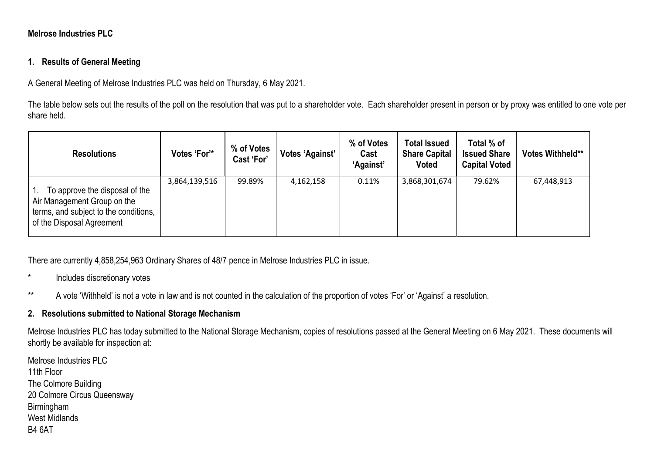## **Melrose Industries PLC**

## **1. Results of General Meeting**

A General Meeting of Melrose Industries PLC was held on Thursday, 6 May 2021.

The table below sets out the results of the poll on the resolution that was put to a shareholder vote. Each shareholder present in person or by proxy was entitled to one vote per share held.

| <b>Resolutions</b>                                                                                                                  | Votes 'For'*  | % of Votes<br><b>Cast 'For'</b> | Votes 'Against' | % of Votes<br>Cast<br>'Against' | <b>Total Issued</b><br><b>Share Capital</b><br><b>Voted</b> | Total % of<br><b>Issued Share</b><br><b>Capital Voted</b> | <b>Votes Withheld**</b> |
|-------------------------------------------------------------------------------------------------------------------------------------|---------------|---------------------------------|-----------------|---------------------------------|-------------------------------------------------------------|-----------------------------------------------------------|-------------------------|
| To approve the disposal of the<br>Air Management Group on the<br>terms, and subject to the conditions,<br>of the Disposal Agreement | 3,864,139,516 | 99.89%                          | 4,162,158       | 0.11%                           | 3,868,301,674                                               | 79.62%                                                    | 67,448,913              |

There are currently 4,858,254,963 Ordinary Shares of 48/7 pence in Melrose Industries PLC in issue.

- \* Includes discretionary votes
- \*\* A vote 'Withheld' is not a vote in law and is not counted in the calculation of the proportion of votes 'For' or 'Against' a resolution.

## **2. Resolutions submitted to National Storage Mechanism**

Melrose Industries PLC has today submitted to the National Storage Mechanism, copies of resolutions passed at the General Meeting on 6 May 2021. These documents will shortly be available for inspection at:

Melrose Industries PLC 11th Floor The Colmore Building 20 Colmore Circus Queensway Birmingham West Midlands B4 6AT